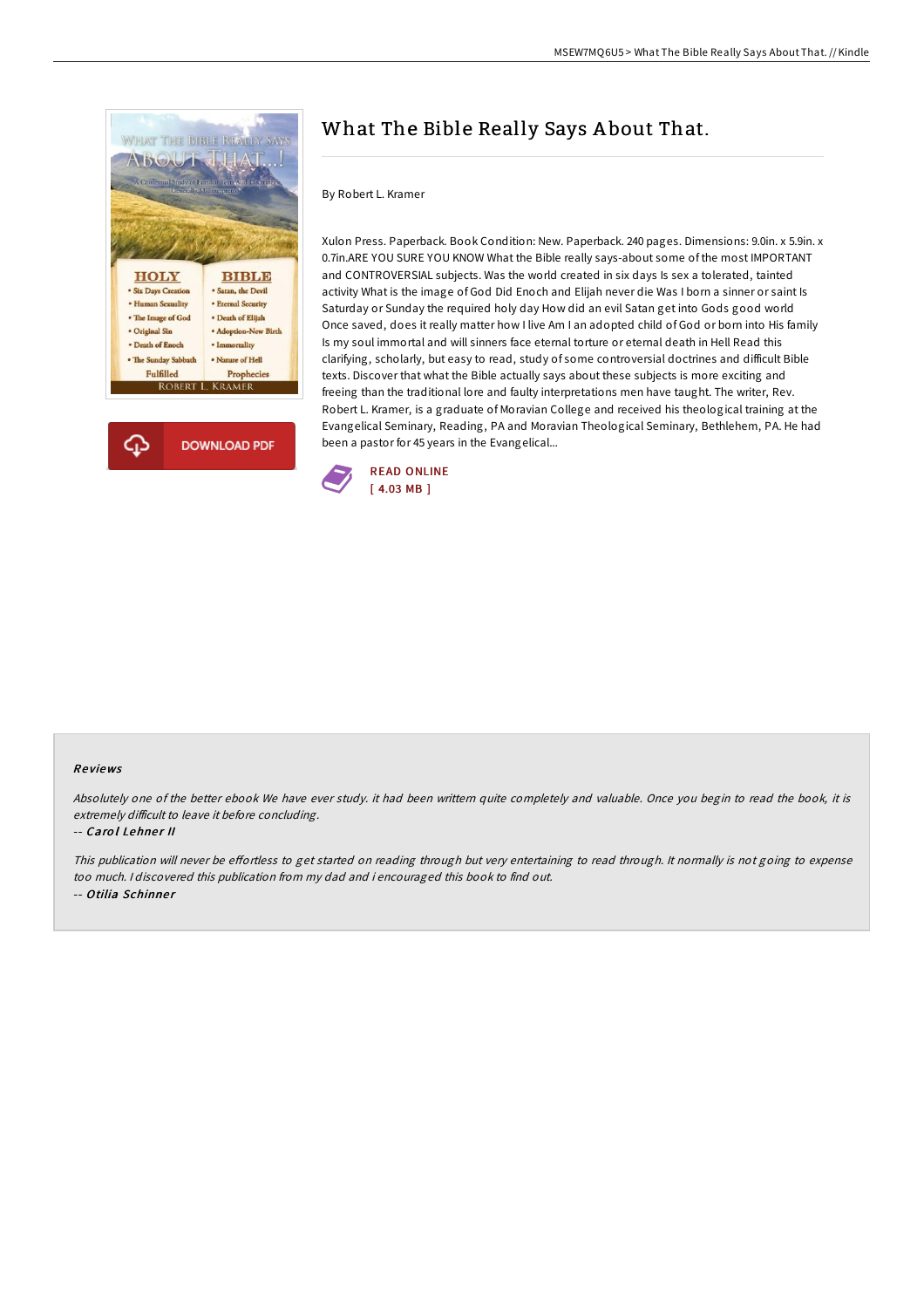



# What The Bible Really Says A bout That.

### By Robert L. Kramer

Xulon Press. Paperback. Book Condition: New. Paperback. 240 pages. Dimensions: 9.0in. x 5.9in. x 0.7in.ARE YOU SURE YOU KNOW What the Bible really says-about some of the most IMPORTANT and CONTROVERSIAL subjects. Was the world created in six days Is sex a tolerated, tainted activity What is the image of God Did Enoch and Elijah never die Was I born a sinner or saint Is Saturday or Sunday the required holy day How did an evil Satan get into Gods good world Once saved, does it really matter how I live Am I an adopted child of God or born into His family Is my soul immortal and will sinners face eternal torture or eternal death in Hell Read this clarifying, scholarly, but easy to read, study of some controversial doctrines and difficult Bible texts. Discover that what the Bible actually says about these subjects is more exciting and freeing than the traditional lore and faulty interpretations men have taught. The writer, Rev. Robert L. Kramer, is a graduate of Moravian College and received his theological training at the Evangelical Seminary, Reading, PA and Moravian Theological Seminary, Bethlehem, PA. He had been a pastor for 45 years in the Evangelical...



#### Re views

Absolutely one of the better ebook We have ever study. it had been writtern quite completely and valuable. Once you begin to read the book, it is extremely difficult to leave it before concluding.

#### -- Carol Lehner II

This publication will never be effortless to get started on reading through but very entertaining to read through. It normally is not going to expense too much. <sup>I</sup> discovered this publication from my dad and i encouraged this book to find out. -- Otilia Schinner